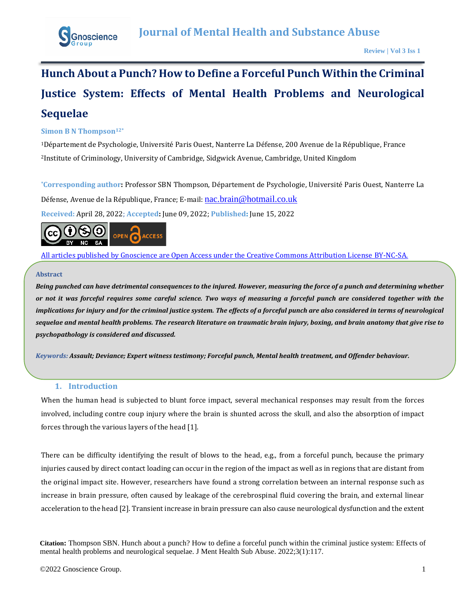

# **Hunch About a Punch? How to Define a Forceful Punch Within the Criminal Justice System: Effects of Mental Health Problems and Neurological Sequelae**

## **Simon B N Thompson12\***

<sup>1</sup>Département de Psychologie, Université Paris Ouest, Nanterre La Défense, 200 Avenue de la République, France <sup>2</sup>Institute of Criminology, University of Cambridge, Sidgwick Avenue, Cambridge, United Kingdom

**\*Corresponding author:** Professor SBN Thompson, Département de Psychologie, Université Paris Ouest, Nanterre La Défense, Avenue de la République, France; E-mail: [nac.brain@hotmail.co.uk](mailto:nac.brain@hotmail.co.uk) **Received:** April 28, 2022; **Accepted:** June 09, 2022; **Published:** June 15, 2022



[All articles published by Gnoscience are Open Access under the Creative Commons Attribution License BY-NC-SA.](https://creativecommons.org/licenses/by-nc-sa/4.0/)

### **Abstract**

*Being punched can have detrimental consequences to the injured. However, measuring the force of a punch and determining whether or not it was forceful requires some careful science. Two ways of measuring a forceful punch are considered together with the implications for injury and for the criminal justice system. The effects of a forceful punch are also considered in terms of neurological sequelae and mental health problems. The research literature on traumatic brain injury, boxing, and brain anatomy that give rise to psychopathology is considered and discussed.*

*Keywords: Assault; Deviance; Expert witness testimony; Forceful punch, Mental health treatment, and Offender behaviour.*

## **1. Introduction**

When the human head is subjected to blunt force impact, several mechanical responses may result from the forces involved, including contre coup injury where the brain is shunted across the skull, and also the absorption of impact forces through the various layers of the head [1].

There can be difficulty identifying the result of blows to the head, e.g., from a forceful punch, because the primary injuries caused by direct contact loading can occur in the region of the impact as well as in regions that are distant from the original impact site. However, researchers have found a strong correlation between an internal response such as increase in brain pressure, often caused by leakage of the cerebrospinal fluid covering the brain, and external linear acceleration to the head [2]. Transient increase in brain pressure can also cause neurological dysfunction and the extent

**Citation:** Thompson SBN. Hunch about a punch? How to define a forceful punch within the criminal justice system: Effects of mental health problems and neurological sequelae. J Ment Health Sub Abuse. 2022;3(1):117.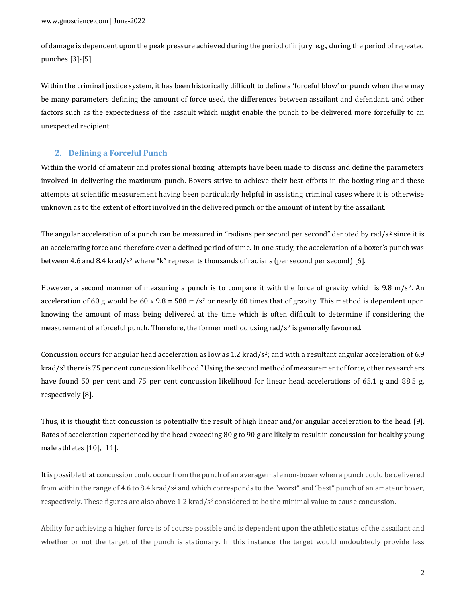of damage is dependent upon the peak pressure achieved during the period of injury, e.g., during the period of repeated punches [3]-[5].

Within the criminal justice system, it has been historically difficult to define a 'forceful blow' or punch when there may be many parameters defining the amount of force used, the differences between assailant and defendant, and other factors such as the expectedness of the assault which might enable the punch to be delivered more forcefully to an unexpected recipient.

### **2. Defining a Forceful Punch**

Within the world of amateur and professional boxing, attempts have been made to discuss and define the parameters involved in delivering the maximum punch. Boxers strive to achieve their best efforts in the boxing ring and these attempts at scientific measurement having been particularly helpful in assisting criminal cases where it is otherwise unknown as to the extent of effort involved in the delivered punch or the amount of intent by the assailant.

The angular acceleration of a punch can be measured in "radians per second per second" denoted by rad/s<sup>2</sup> since it is an accelerating force and therefore over a defined period of time. In one study, the acceleration of a boxer's punch was between 4.6 and 8.4 krad/s<sup>2</sup> where "k" represents thousands of radians (per second per second) [6].

However, a second manner of measuring a punch is to compare it with the force of gravity which is 9.8 m/s<sup>2</sup>. An acceleration of 60 g would be 60 x 9.8 = 588 m/s<sup>2</sup> or nearly 60 times that of gravity. This method is dependent upon knowing the amount of mass being delivered at the time which is often difficult to determine if considering the measurement of a forceful punch. Therefore, the former method using rad/ $s^2$  is generally favoured.

Concussion occurs for angular head acceleration as low as 1.2 krad/s<sup>2</sup>; and with a resultant angular acceleration of 6.9 krad/s<sup>2</sup> there is 75 per cent concussion likelihood.<sup>7</sup> Using the second method of measurement of force, other researchers have found 50 per cent and 75 per cent concussion likelihood for linear head accelerations of 65.1 g and 88.5 g, respectively [8].

Thus, it is thought that concussion is potentially the result of high linear and/or angular acceleration to the head [9]. Rates of acceleration experienced by the head exceeding 80 g to 90 g are likely to result in concussion for healthy young male athletes [10], [11].

It is possible that concussion could occur from the punch of an average male non-boxer when a punch could be delivered from within the range of 4.6 to 8.4 krad/s<sup>2</sup> and which corresponds to the "worst" and "best" punch of an amateur boxer, respectively. These figures are also above 1.2 krad/ $s^2$  considered to be the minimal value to cause concussion.

Ability for achieving a higher force is of course possible and is dependent upon the athletic status of the assailant and whether or not the target of the punch is stationary. In this instance, the target would undoubtedly provide less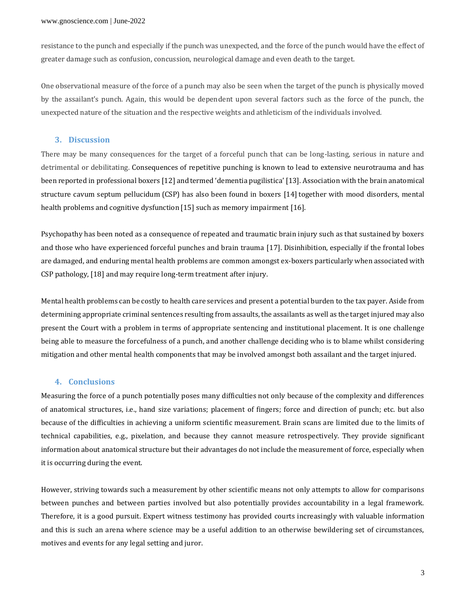resistance to the punch and especially if the punch was unexpected, and the force of the punch would have the effect of greater damage such as confusion, concussion, neurological damage and even death to the target.

One observational measure of the force of a punch may also be seen when the target of the punch is physically moved by the assailant's punch. Again, this would be dependent upon several factors such as the force of the punch, the unexpected nature of the situation and the respective weights and athleticism of the individuals involved.

## **3. Discussion**

There may be many consequences for the target of a forceful punch that can be long-lasting, serious in nature and detrimental or debilitating. Consequences of repetitive punching is known to lead to extensive neurotrauma and has been reported in professional boxers [12] and termed 'dementia pugilistica' [13]. Association with the brain anatomical structure cavum septum pellucidum (CSP) has also been found in boxers [14] together with mood disorders, mental health problems and cognitive dysfunction [15] such as memory impairment [16].

Psychopathy has been noted as a consequence of repeated and traumatic brain injury such as that sustained by boxers and those who have experienced forceful punches and brain trauma [17]. Disinhibition, especially if the frontal lobes are damaged, and enduring mental health problems are common amongst ex-boxers particularly when associated with CSP pathology, [18] and may require long-term treatment after injury.

Mental health problems can be costly to health care services and present a potential burden to the tax payer. Aside from determining appropriate criminal sentences resulting from assaults, the assailants as well as the target injured may also present the Court with a problem in terms of appropriate sentencing and institutional placement. It is one challenge being able to measure the forcefulness of a punch, and another challenge deciding who is to blame whilst considering mitigation and other mental health components that may be involved amongst both assailant and the target injured.

### **4. Conclusions**

Measuring the force of a punch potentially poses many difficulties not only because of the complexity and differences of anatomical structures, i.e., hand size variations; placement of fingers; force and direction of punch; etc. but also because of the difficulties in achieving a uniform scientific measurement. Brain scans are limited due to the limits of technical capabilities, e.g., pixelation, and because they cannot measure retrospectively. They provide significant information about anatomical structure but their advantages do not include the measurement of force, especially when it is occurring during the event.

However, striving towards such a measurement by other scientific means not only attempts to allow for comparisons between punches and between parties involved but also potentially provides accountability in a legal framework. Therefore, it is a good pursuit. Expert witness testimony has provided courts increasingly with valuable information and this is such an arena where science may be a useful addition to an otherwise bewildering set of circumstances, motives and events for any legal setting and juror.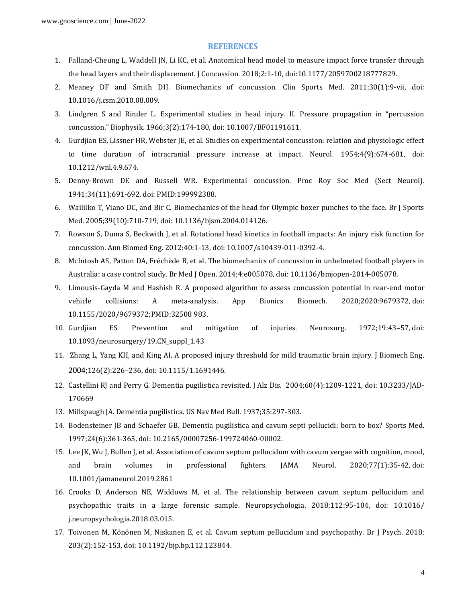#### **REFERENCES**

- 1. Falland-Cheung L, Waddell JN, Li KC, et al. Anatomical head model to measure impact force transfer through the head layers and their displacement. J Concussion. 2018;2:1-10, doi:10.1177/2059700218777829.
- 2. Meaney DF and Smith DH. Biomechanics of concussion. Clin Sports Med. 2011;30(1):9-vii, doi: 10.1016/j.csm.2010.08.009.
- 3. Lindgren S and Rinder L. Experimental studies in head injury. II. Pressure propagation in "percussion concussion." Biophysik. 1966;3(2):174-180, doi: 10.1007/BF01191611.
- 4. Gurdjian ES, Lissner HR, Webster JE, et al. Studies on experimental concussion: relation and physiologic effect to time duration of intracranial pressure increase at impact. Neurol. 1954;4(9):674-681, doi: 10.1212/wnl.4.9.674.
- 5. Denny-Brown DE and Russell WR. Experimental concussion. Proc Roy Soc Med (Sect Neurol). 1941;34(11):691-692, doi: PMID:199992388.
- 6. Waililko T, Viano DC, and Bir C. Biomechanics of the head for Olympic boxer punches to the face. Br J Sports Med. 2005;39(10):710-719, doi: 10.1136/bjsm.2004.014126.
- 7. Rowson S, Duma S, Beckwith J, et al. Rotational head kinetics in football impacts: An injury risk function for concussion. Ann Biomed Eng. 2012:40:1-13, doi: 10.1007/s10439-011-0392-4.
- 8. McIntosh AS, Patton DA, Fréchède B, et al. The biomechanics of concussion in unhelmeted football players in Australia: a case control study. Br Med J Open. 2014;4:e005078, doi: 10.1136/bmjopen-2014-005078.
- 9. Limousis-Gayda M and Hashish R. A proposed algorithm to assess concussion potential in rear-end motor vehicle collisions: A meta-analysis. App Bionics Biomech. 2020*;*2020:9679372, doi: 10.1155/2020/9679372;PMID:32508 983.
- 10. Gurdjian ES. Prevention and mitigation of injuries. Neurosurg. 1972;19:43–57, doi: 10.1093/neurosurgery/19.CN\_suppl\_1.43
- 11. Zhang L, Yang KH, and King AI. A proposed injury threshold for mild traumatic brain injury. J Biomech Eng. 2004;126(2):226–236, doi: 10.1115/1.1691446.
- 12. Castellini RJ and Perry G. Dementia pugilistica revisited. J Alz Dis. 2004;60(4):1209-1221, doi: 10.3233/JAD-170669
- 13. Millspaugh JA. Dementia pugilistica. US Nav Med Bull. 1937;35:297-303.
- 14. Bodensteiner JB and Schaefer GB. Dementia pugilistica and cavum septi pellucidi: born to box? Sports Med. 1997;24(6):361-365, doi: 10.2165/00007256-199724060-00002.
- 15. Lee JK, Wu J, Bullen J, et al. Association of cavum septum pellucidum with cavum vergae with cognition, mood, and brain volumes in professional fighters. JAMA Neurol. 2020;77(1):35-42, doi: 10.1001/jamaneurol.2019.2861
- 16. Crooks D, Anderson NE, Widdows M, et al. The relationship between cavum septum pellucidum and psychopathic traits in a large forensic sample. Neuropsychologia. 2018;112:95-104, doi: 10.1016/ j.neuropsychologia.2018.03.015.
- 17. Toivonen M, Könönen M, Niskanen E, et al. Cavum septum pellucidum and psychopathy. Br J Psych. 2018; 203(2):152-153, doi: 10.1192/bjp.bp.112.123844.